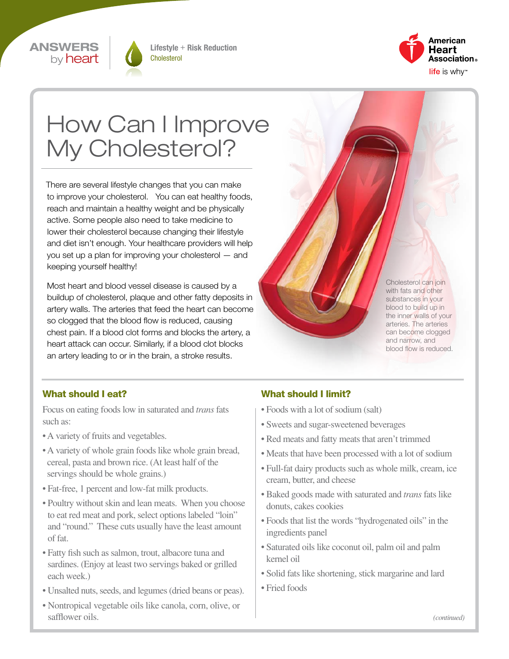



Lifestyle + Risk Reduction Cholesterol



# How Can I Improve My Cholesterol?

There are several lifestyle changes that you can make to improve your cholesterol. You can eat healthy foods, reach and maintain a healthy weight and be physically active. Some people also need to take medicine to lower their cholesterol because changing their lifestyle and diet isn't enough. Your healthcare providers will help you set up a plan for improving your cholesterol — and keeping yourself healthy!

Most heart and blood vessel disease is caused by a buildup of cholesterol, plaque and other fatty deposits in artery walls. The arteries that feed the heart can become so clogged that the blood flow is reduced, causing chest pain. If a blood clot forms and blocks the artery, a heart attack can occur. Similarly, if a blood clot blocks an artery leading to or in the brain, a stroke results.

Cholesterol can join with fats and other substances in your blood to build up in the inner walls of your arteries. The arteries can become clogged and narrow, and blood flow is reduced.

#### What should I eat?

Focus on eating foods low in saturated and *trans* fats such as:

- A variety of fruits and vegetables.
- A variety of whole grain foods like whole grain bread, cereal, pasta and brown rice. (At least half of the servings should be whole grains.)
- Fat-free, 1 percent and low-fat milk products.
- Poultry without skin and lean meats. When you choose to eat red meat and pork, select options labeled "loin" and "round." These cuts usually have the least amount of fat.
- Fatty fish such as salmon, trout, albacore tuna and sardines. (Enjoy at least two servings baked or grilled each week.)
- Unsalted nuts, seeds, and legumes (dried beans or peas).
- Nontropical vegetable oils like canola, corn, olive, or safflower oils.

#### What should I limit?

- Foods with a lot of sodium (salt)
- Sweets and sugar-sweetened beverages
- Red meats and fatty meats that aren't trimmed
- Meats that have been processed with a lot of sodium
- Full-fat dairy products such as whole milk, cream, ice cream, butter, and cheese
- Baked goods made with saturated and *trans* fats like donuts, cakes cookies
- Foods that list the words "hydrogenated oils" in the ingredients panel
- Saturated oils like coconut oil, palm oil and palm kernel oil
- Solid fats like shortening, stick margarine and lard
- Fried foods